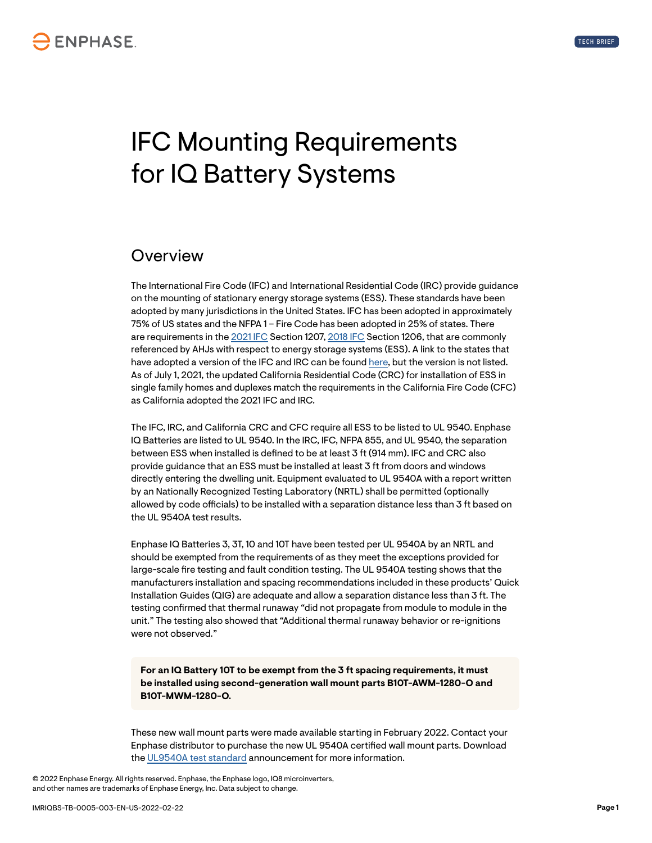# IFC Mounting Requirements for IQ Battery Systems

#### **Overview**

The International Fire Code (IFC) and International Residential Code (IRC) provide guidance on the mounting of stationary energy storage systems (ESS). These standards have been adopted by many jurisdictions in the United States. IFC has been adopted in approximately 75% of US states and the NFPA 1 – Fire Code has been adopted in 25% of states. There are requirements in the [2021 IFC](https://codes.iccsafe.org/content/IFC2021P1) Section 1207, [2018 IFC](https://codes.iccsafe.org/content/IFC2018/CHAPTER-12-ENERGY-SYSTEMS) Section 1206, that are commonly referenced by AHJs with respect to energy storage systems (ESS). A link to the states that have adopted a version of the IFC and IRC can be found [here](https://www.iccsafe.org/wp-content/uploads/Code_Adoption_Maps.pdf), but the version is not listed. As of July 1, 2021, the updated California Residential Code (CRC) for installation of ESS in single family homes and duplexes match the requirements in the California Fire Code (CFC) as California adopted the 2021 IFC and IRC.

The IFC, IRC, and California CRC and CFC require all ESS to be listed to UL 9540. Enphase IQ Batteries are listed to UL 9540. In the IRC, IFC, NFPA 855, and UL 9540, the separation between ESS when installed is defined to be at least 3 ft (914 mm). IFC and CRC also provide guidance that an ESS must be installed at least 3 ft from doors and windows directly entering the dwelling unit. Equipment evaluated to UL 9540A with a report written by an Nationally Recognized Testing Laboratory (NRTL) shall be permitted (optionally allowed by code officials) to be installed with a separation distance less than 3 ft based on the UL 9540A test results.

Enphase IQ Batteries 3, 3T, 10 and 10T have been tested per UL 9540A by an NRTL and should be exempted from the requirements of as they meet the exceptions provided for large-scale fire testing and fault condition testing. The UL 9540A testing shows that the manufacturers installation and spacing recommendations included in these products' Quick Installation Guides (QIG) are adequate and allow a separation distance less than 3 ft. The testing confirmed that thermal runaway "did not propagate from module to module in the unit." The testing also showed that "Additional thermal runaway behavior or re-ignitions were not observed."

**For an IQ Battery 10T to be exempt from the 3 ft spacing requirements, it must be installed using second-generation wall mount parts B10T-AWM-1280-O and B10T-MWM-1280-O.**

These new wall mount parts were made available starting in February 2022. Contact your Enphase distributor to purchase the new UL 9540A certified wall mount parts. Download the [UL9540A test standard](https://enphase.com/download/iq-battery-10t-ul9540a-test-standard) announcement for more information.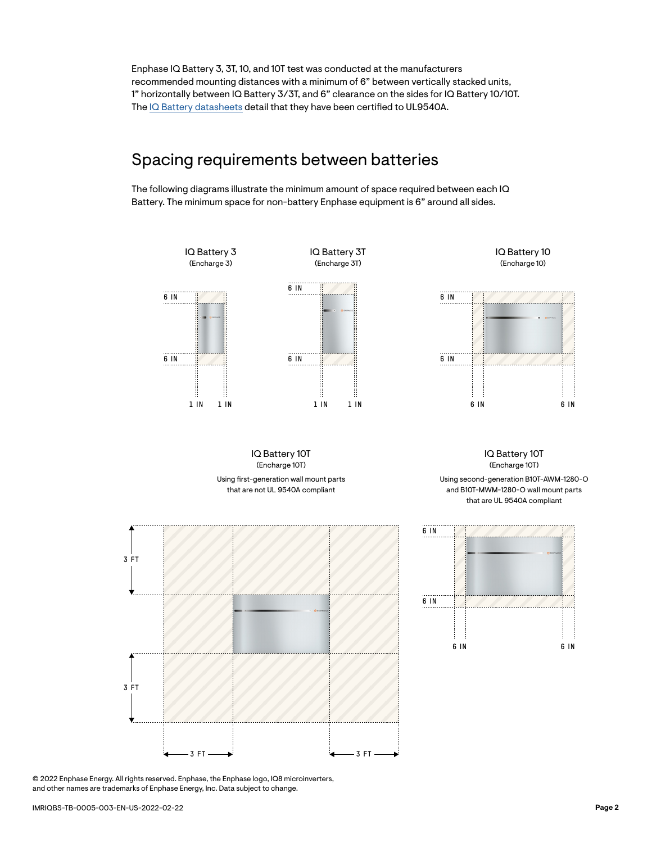Enphase IQ Battery 3, 3T, 10, and 10T test was conducted at the manufacturers recommended mounting distances with a minimum of 6" between vertically stacked units, 1" horizontally between IQ Battery 3/3T, and 6" clearance on the sides for IQ Battery 10/10T. The [IQ Battery datasheets](https://link.enphase.com/iq-battery-data-sheets) detail that they have been certified to UL9540A.

#### Spacing requirements between batteries

The following diagrams illustrate the minimum amount of space required between each IQ Battery. The minimum space for non-battery Enphase equipment is 6" around all sides.

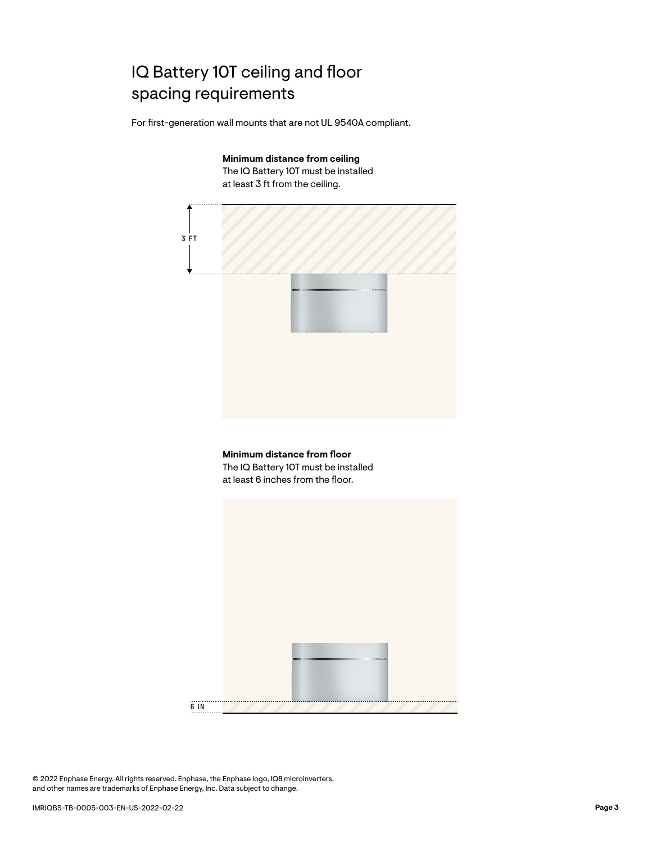# IQ Battery 10T ceiling and floor spacing requirements

For first-generation wall mounts that are not UL 9540A compliant.

**Minimum distance from ceiling** The IQ Battery 10T must be installed at least 3 ft from the ceiling.





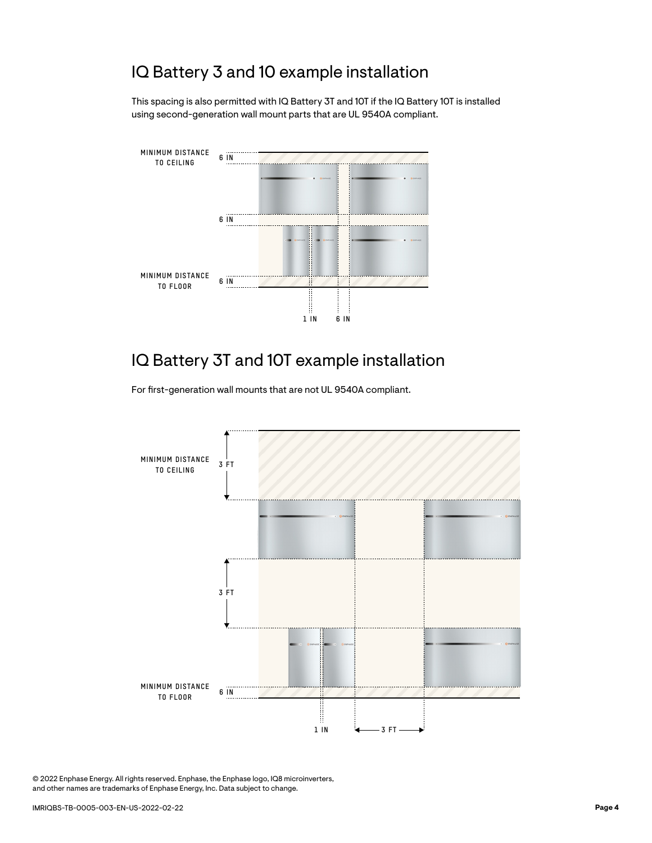# IQ Battery 3 and 10 example installation

This spacing is also permitted with IQ Battery 3T and 10T if the IQ Battery 10T is installed using second-generation wall mount parts that are UL 9540A compliant.



# IQ Battery 3T and 10T example installation

For first-generation wall mounts that are not UL 9540A compliant.

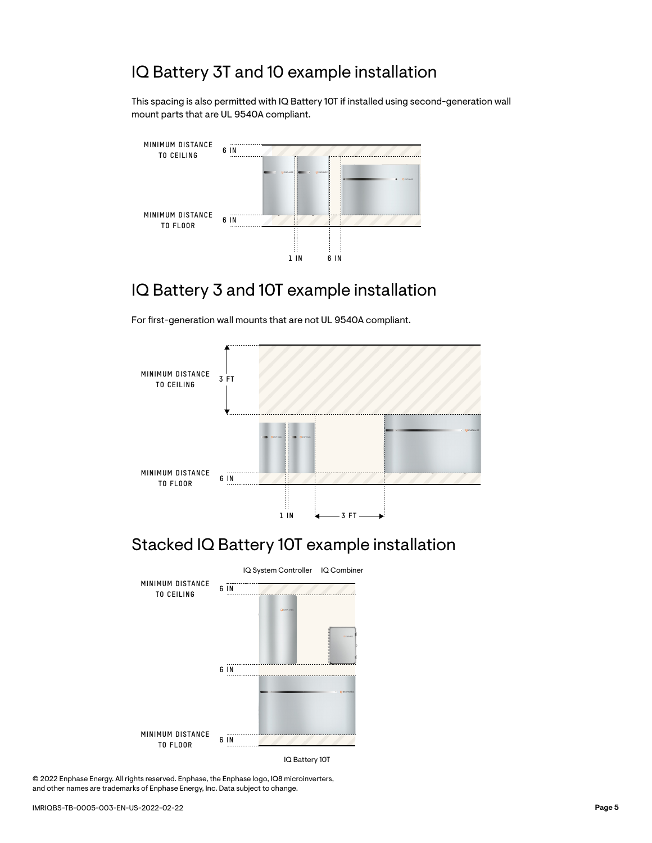# IQ Battery 3T and 10 example installation

This spacing is also permitted with IQ Battery 10T if installed using second-generation wall mount parts that are UL 9540A compliant.



# IQ Battery 3 and 10T example installation

For first-generation wall mounts that are not UL 9540A compliant.



#### Stacked IQ Battery 10T example installation

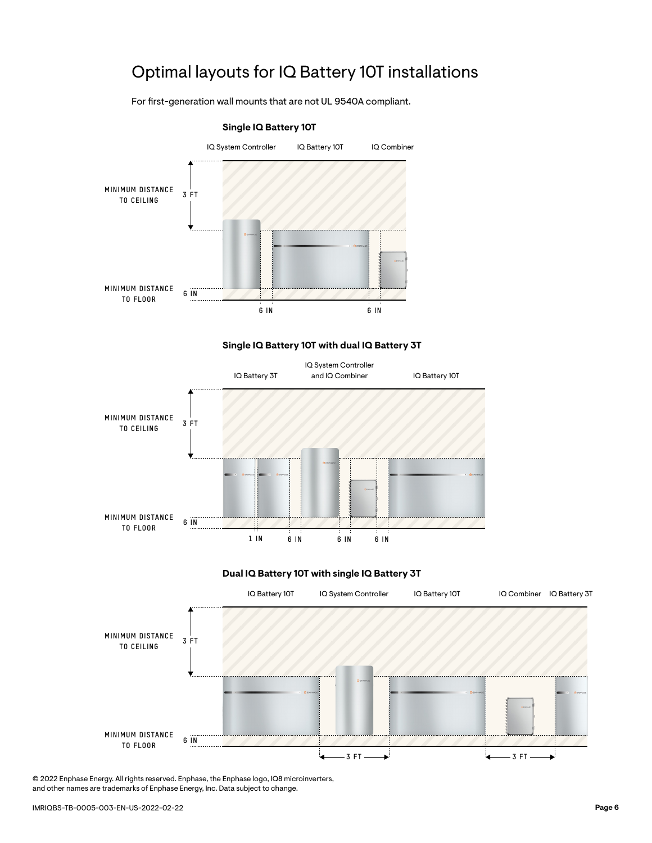# Optimal layouts for IQ Battery 10T installations

For first-generation wall mounts that are not UL 9540A compliant.



#### **Single IQ Battery 10T with dual IQ Battery 3T**